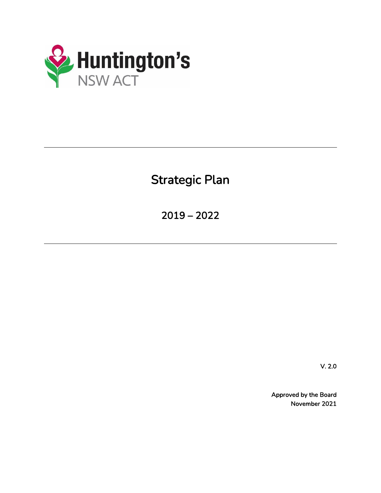

Strategic Plan

2019 – 2022

V. 2.0

Approved by the Board November 2021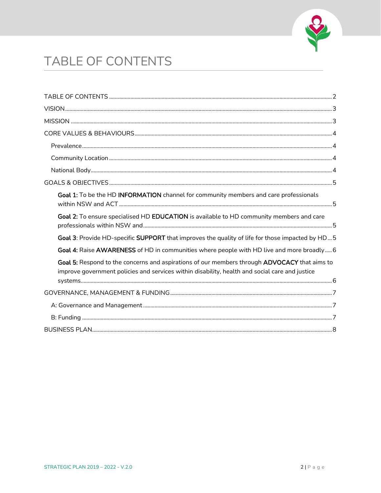

# <span id="page-1-0"></span>TABLE OF CONTENTS

| Goal 1: To be the HD INFORMATION channel for community members and care professionals                                                                                                          |
|------------------------------------------------------------------------------------------------------------------------------------------------------------------------------------------------|
| Goal 2: To ensure specialised HD EDUCATION is available to HD community members and care                                                                                                       |
| Goal 3: Provide HD-specific SUPPORT that improves the quality of life for those impacted by HD5                                                                                                |
| Goal 4: Raise AWARENESS of HD in communities where people with HD live and more broadly 6                                                                                                      |
| Goal 5: Respond to the concerns and aspirations of our members through ADVOCACY that aims to<br>improve government policies and services within disability, health and social care and justice |
|                                                                                                                                                                                                |
|                                                                                                                                                                                                |
|                                                                                                                                                                                                |
|                                                                                                                                                                                                |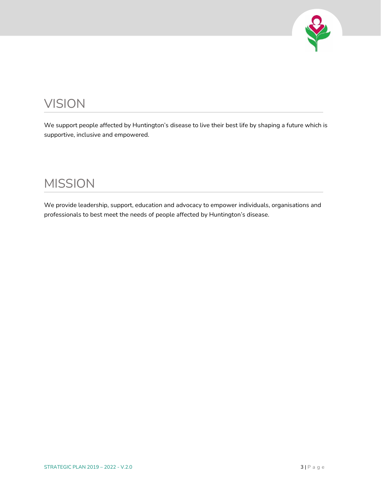

## <span id="page-2-0"></span>VISION

We support people affected by Huntington's disease to live their best life by shaping a future which is supportive, inclusive and empowered.

### <span id="page-2-1"></span>MISSION

We provide leadership, support, education and advocacy to empower individuals, organisations and professionals to best meet the needs of people affected by Huntington's disease.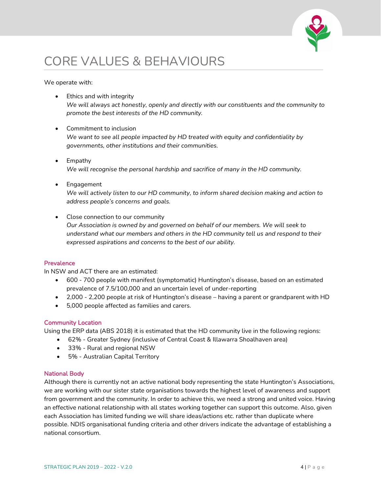

## <span id="page-3-0"></span>CORE VALUES & BEHAVIOURS

We operate with:

- Ethics and with integrity *We will always act honestly, openly and directly with our constituents and the community to promote the best interests of the HD community.*
- Commitment to inclusion *We want to see all people impacted by HD treated with equity and confidentiality by governments, other institutions and their communities.*
- Empathy *We will recognise the personal hardship and sacrifice of many in the HD community.*
- Engagement *We will actively listen to our HD community, to inform shared decision making and action to address people's concerns and goals.*
- Close connection to our community

*Our Association is owned by and governed on behalf of our members. We will seek to understand what our members and others in the HD community tell us and respond to their expressed aspirations and concerns to the best of our ability.*

### <span id="page-3-1"></span>**Prevalence**

In NSW and ACT there are an estimated:

- 600 700 people with manifest (symptomatic) Huntington's disease, based on an estimated prevalence of 7.5/100,000 and an uncertain level of under-reporting
- 2,000 2,200 people at risk of Huntington's disease having a parent or grandparent with HD
- 5,000 people affected as families and carers.

#### <span id="page-3-2"></span>Community Location

Using the ERP data (ABS 2018) it is estimated that the HD community live in the following regions:

- 62% Greater Sydney (inclusive of Central Coast & Illawarra Shoalhaven area)
- 33% Rural and regional NSW
- 5% Australian Capital Territory

#### <span id="page-3-3"></span>National Body

Although there is currently not an active national body representing the state Huntington's Associations, we are working with our sister state organisations towards the highest level of awareness and support from government and the community. In order to achieve this, we need a strong and united voice. Having an effective national relationship with all states working together can support this outcome. Also, given each Association has limited funding we will share ideas/actions etc. rather than duplicate where possible. NDIS organisational funding criteria and other drivers indicate the advantage of establishing a national consortium.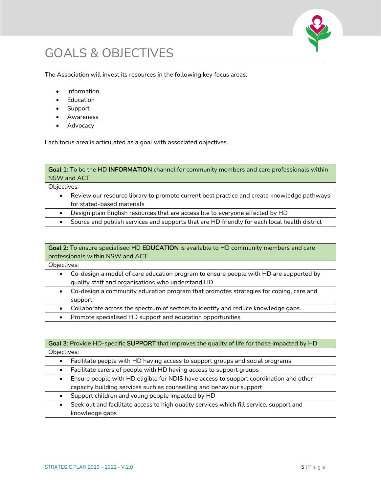

## <span id="page-4-0"></span>GOALS & OBJECTIVES

The Association will invest its resources in the following key focus areas:

- Information
- Education
- Support
- Awareness
- Advocacy

Each focus area is articulated as a goal with associated objectives.

<span id="page-4-1"></span>Goal 1: To be the HD INFORMATION channel for community members and care professionals within NSW and ACT

Objectives:

- Review our resource library to promote current best practice and create knowledge pathways for stated-based materials
- Design plain English resources that are accessible to everyone affected by HD
- Source and publish services and supports that are HD friendly for each local health district

### <span id="page-4-2"></span>Goal 2: To ensure specialised HD EDUCATION is available to HD community members and care professionals within NSW and ACT

Objectives:

- Co-design a model of care education program to ensure people with HD are supported by quality staff and organisations who understand HD
- Co-design a community education program that promotes strategies for coping, care and support
- Collaborate across the spectrum of sectors to identify and reduce knowledge gaps.
- Promote specialised HD support and education opportunities

<span id="page-4-3"></span>

| Goal 3: Provide HD-specific SUPPORT that improves the quality of life for those impacted by HD     |
|----------------------------------------------------------------------------------------------------|
| Objectives:                                                                                        |
| Facilitate people with HD having access to support groups and social programs                      |
| Facilitate carers of people with HD having access to support groups<br>$\bullet$                   |
| Ensure people with HD eligible for NDIS have access to support coordination and other<br>$\bullet$ |
| capacity building services such as counselling and behaviour support                               |
| Support children and young people impacted by HD                                                   |
| Seek out and facilitate access to high quality services which fill service, support and            |
| knowledge gaps                                                                                     |
|                                                                                                    |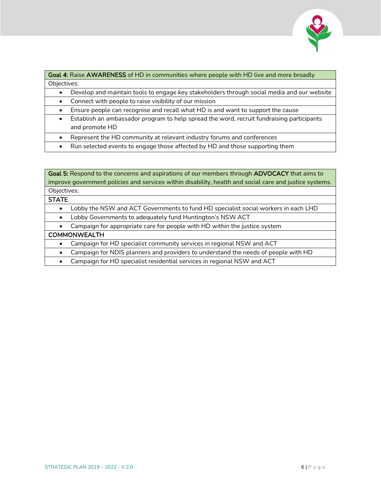

<span id="page-5-0"></span>Goal 4: Raise AWARENESS of HD in communities where people with HD live and more broadly Objectives:

- Develop and maintain tools to engage key stakeholders through social media and our website
- Connect with people to raise visibility of our mission
- Ensure people can recognise and recall what HD is and want to support the cause
- Establish an ambassador program to help spread the word, recruit fundraising participants and promote HD
- Represent the HD community at relevant industry forums and conferences
- Run selected events to engage those affected by HD and those supporting them

### <span id="page-5-1"></span>Goal 5: Respond to the concerns and aspirations of our members through ADVOCACY that aims to improve government policies and services within disability, health and social care and justice systems. Objectives:

#### **STATE**

- Lobby the NSW and ACT Governments to fund HD specialist social workers in each LHD
- Lobby Governments to adequately fund Huntington's NSW ACT

• Campaign for appropriate care for people with HD within the justice system

#### COMMONWEALTH

• Campaign for HD specialist community services in regional NSW and ACT

• Campaign for NDIS planners and providers to understand the needs of people with HD

• Campaign for HD specialist residential services in regional NSW and ACT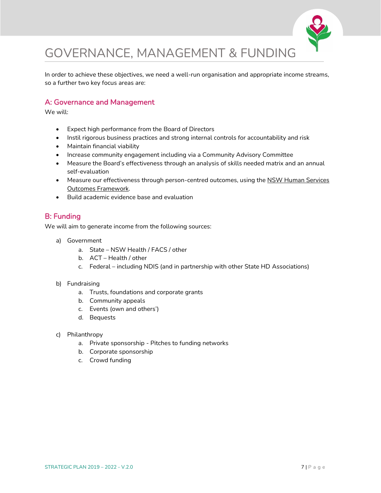

# <span id="page-6-0"></span>GOVERNANCE, MANAGEMENT & FUNDING

In order to achieve these objectives, we need a well-run organisation and appropriate income streams, so a further two key focus areas are:

### <span id="page-6-1"></span>A: Governance and Management

We will:

- Expect high performance from the Board of Directors
- Instil rigorous business practices and strong internal controls for accountability and risk
- Maintain financial viability
- Increase community engagement including via a Community Advisory Committee
- Measure the Board's effectiveness through an analysis of skills needed matrix and an annual self-evaluation
- Measure our effectiveness through person-centred outcomes, using the NSW Human Services [Outcomes Framework.](https://www.facs.nsw.gov.au/resources/human-services-outcomes-framework)
- Build academic evidence base and evaluation

### <span id="page-6-2"></span>B: Funding

We will aim to generate income from the following sources:

- a) Government
	- a. State NSW Health / FACS / other
	- b. ACT Health / other
	- c. Federal including NDIS (and in partnership with other State HD Associations)
- b) Fundraising
	- a. Trusts, foundations and corporate grants
	- b. Community appeals
	- c. Events (own and others')
	- d. Bequests
- c) Philanthropy
	- a. Private sponsorship Pitches to funding networks
	- b. Corporate sponsorship
	- c. Crowd funding